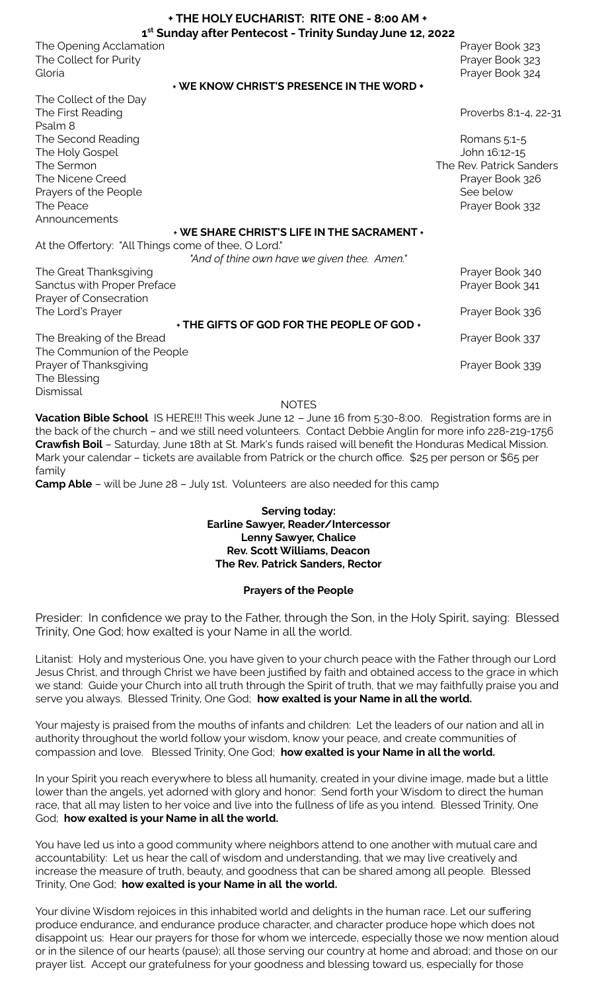| + THE HOLY EUCHARIST: RITE ONE - 8:00 AM +                            |                          |
|-----------------------------------------------------------------------|--------------------------|
| 1 <sup>st</sup> Sunday after Pentecost - Trinity Sunday June 12, 2022 |                          |
| The Opening Acclamation                                               | Prayer Book 323          |
| The Collect for Purity                                                | Prayer Book 323          |
| Gloria                                                                | Prayer Book 324          |
| + WE KNOW CHRIST'S PRESENCE IN THE WORD +                             |                          |
| The Collect of the Day                                                |                          |
| The First Reading                                                     | Proverbs 8:1-4, 22-31    |
| Psalm <sub>8</sub>                                                    |                          |
| The Second Reading                                                    | Romans 5:1-5             |
| The Holy Gospel                                                       | John 16:12-15            |
| The Sermon                                                            | The Rev. Patrick Sanders |
| The Nicene Creed                                                      | Prayer Book 326          |
| Prayers of the People                                                 | See below                |
| The Peace                                                             | Prayer Book 332          |
| Announcements                                                         |                          |
| + WE SHARE CHRIST'S LIFE IN THE SACRAMENT +                           |                          |
| At the Offertory: "All Things come of thee, O Lord."                  |                          |
| "And of thine own have we given thee. Amen."                          |                          |
| The Great Thanksgiving                                                | Prayer Book 340          |
| Sanctus with Proper Preface                                           | Prayer Book 341          |
| Prayer of Consecration                                                |                          |
| The Lord's Prayer<br>+ THE GIFTS OF GOD FOR THE PEOPLE OF GOD +       | Prayer Book 336          |
| The Breaking of the Bread                                             | Prayer Book 337          |
| The Communion of the People                                           |                          |
| Prayer of Thanksgiving                                                | Prayer Book 339          |
| The Blessing                                                          |                          |
| Dismissal                                                             |                          |

**NOTES** 

**Vacation Bible School** IS HERE!!! This week June 12 – June 16 from 5:30-8:00. Registration forms are in the back of the church – and we still need volunteers. Contact Debbie Anglin for more info 228-219-1756 **Crawfish Boil** – Saturday, June 18th at St. Mark's funds raised will benefit the Honduras Medical Mission. Mark your calendar – tickets are available from Patrick or the church office. \$25 per person or \$65 per family

**Camp Able** – will be June 28 – July 1st. Volunteers are also needed for this camp

## **Serving today: Earline Sawyer, Reader/Intercessor Lenny Sawyer, Chalice Rev. Scott Williams, Deacon The Rev. Patrick Sanders, Rector**

## **Prayers of the People**

Presider: In confidence we pray to the Father, through the Son, in the Holy Spirit, saying: Blessed Trinity, One God; how exalted is your Name in all the world.

Litanist: Holy and mysterious One, you have given to your church peace with the Father through our Lord Jesus Christ, and through Christ we have been justified by faith and obtained access to the grace in which we stand: Guide your Church into all truth through the Spirit of truth, that we may faithfully praise you and serve you always. Blessed Trinity, One God; **how exalted is your Name in all the world.**

Your majesty is praised from the mouths of infants and children: Let the leaders of our nation and all in authority throughout the world follow your wisdom, know your peace, and create communities of compassion and love. Blessed Trinity, One God; **how exalted is your Name in all the world.**

In your Spirit you reach everywhere to bless all humanity, created in your divine image, made but a little lower than the angels, yet adorned with glory and honor: Send forth your Wisdom to direct the human race, that all may listen to her voice and live into the fullness of life as you intend. Blessed Trinity, One God; **how exalted is your Name in all the world.**

You have led us into a good community where neighbors attend to one another with mutual care and accountability: Let us hear the call of wisdom and understanding, that we may live creatively and increase the measure of truth, beauty, and goodness that can be shared among all people. Blessed Trinity, One God; **how exalted is your Name in all the world.**

Your divine Wisdom rejoices in this inhabited world and delights in the human race. Let our suffering produce endurance, and endurance produce character, and character produce hope which does not disappoint us: Hear our prayers for those for whom we intercede, especially those we now mention aloud or in the silence of our hearts (pause); all those serving our country at home and abroad; and those on our prayer list. Accept our gratefulness for your goodness and blessing toward us, especially for those